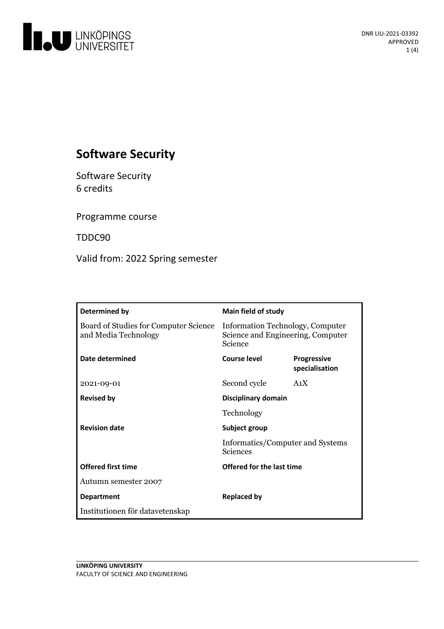

# **Software Security**

Software Security 6 credits

Programme course

TDDC90

Valid from: 2022 Spring semester

| Determined by                                                 | Main field of study                                                              |                                      |
|---------------------------------------------------------------|----------------------------------------------------------------------------------|--------------------------------------|
| Board of Studies for Computer Science<br>and Media Technology | Information Technology, Computer<br>Science and Engineering, Computer<br>Science |                                      |
| Date determined                                               | Course level                                                                     | <b>Progressive</b><br>specialisation |
| 2021-09-01                                                    | Second cycle                                                                     | A <sub>1</sub> X                     |
| <b>Revised by</b>                                             | Disciplinary domain<br>Technology                                                |                                      |
|                                                               |                                                                                  |                                      |
| <b>Revision date</b>                                          | Subject group<br>Informatics/Computer and Systems<br><b>Sciences</b>             |                                      |
|                                                               |                                                                                  |                                      |
| <b>Offered first time</b>                                     | Offered for the last time                                                        |                                      |
| Autumn semester 2007                                          |                                                                                  |                                      |
| <b>Department</b>                                             | <b>Replaced by</b>                                                               |                                      |
| Institutionen för datavetenskap                               |                                                                                  |                                      |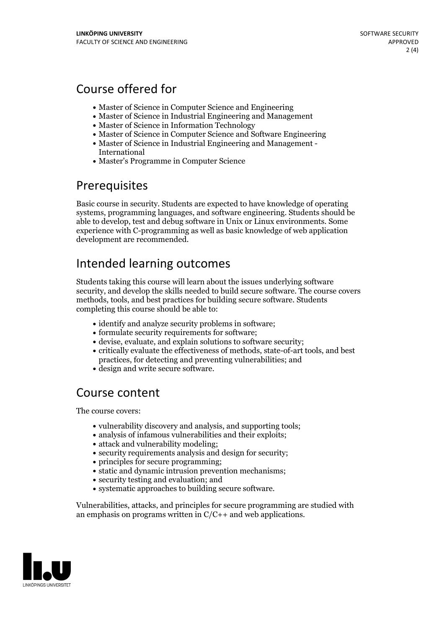## Course offered for

- Master of Science in Computer Science and Engineering
- Master of Science in Industrial Engineering and Management
- Master of Science in Information Technology
- Master of Science in Computer Science and Software Engineering
- Master of Science in Industrial Engineering and Management International
- Master's Programme in Computer Science

## Prerequisites

Basic course in security. Students are expected to have knowledge of operating systems, programming languages, and software engineering. Students should be able to develop, test and debug software in Unix or Linux environments. Some experience with C-programming as well as basic knowledge of web application development are recommended.

## Intended learning outcomes

Students taking this course will learn about the issues underlying software security, and develop the skills needed to build secure software. The course covers methods, tools, and best practices for building secure software. Students completing this course should be able to:

- identify and analyze security problems in software;
- formulate security requirements for software;
- devise, evaluate, and explain solutions to software security;
- critically evaluate the effectiveness of methods, state-of-art tools, and best practices, for detecting and preventing vulnerabilities; and
- design and write secure software.

## Course content

The course covers:

- vulnerability discovery and analysis, and supporting tools;
- analysis of infamous vulnerabilities and their exploits;
- attack and vulnerability modeling;
- security requirements analysis and design for security;
- principles for secure programming;
- static and dynamic intrusion prevention mechanisms:
- security testing and evaluation; and
- systematic approaches to building secure software.

Vulnerabilities, attacks, and principles for secure programming are studied with an emphasis on programs written in  $C/C++$  and web applications.

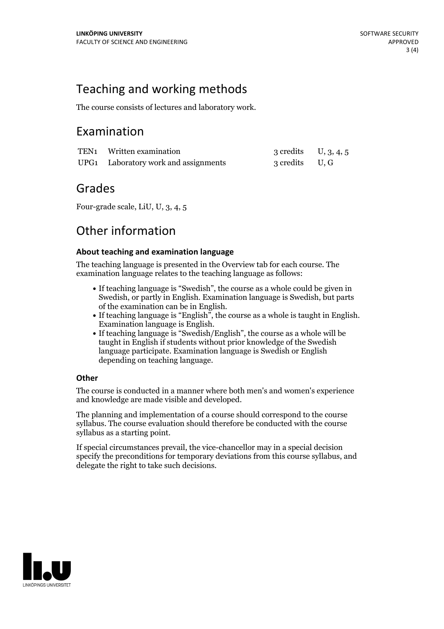## Teaching and working methods

The course consists of lectures and laboratory work.

## Examination

| TEN1 Written examination             | 3 credits $U, 3, 4, 5$ |  |
|--------------------------------------|------------------------|--|
| UPG1 Laboratory work and assignments | 3 credits U, G         |  |

### Grades

Four-grade scale, LiU, U, 3, 4, 5

## Other information

#### **About teaching and examination language**

The teaching language is presented in the Overview tab for each course. The examination language relates to the teaching language as follows:

- If teaching language is "Swedish", the course as a whole could be given in Swedish, or partly in English. Examination language is Swedish, but parts
- of the examination can be in English. If teaching language is "English", the course as <sup>a</sup> whole is taught in English. Examination language is English. If teaching language is "Swedish/English", the course as <sup>a</sup> whole will be
- taught in English if students without prior knowledge of the Swedish language participate. Examination language is Swedish or English depending on teaching language.

#### **Other**

The course is conducted in a manner where both men's and women's experience and knowledge are made visible and developed.

The planning and implementation of a course should correspond to the course syllabus. The course evaluation should therefore be conducted with the course syllabus as a starting point.

If special circumstances prevail, the vice-chancellor may in a special decision specify the preconditions for temporary deviations from this course syllabus, and delegate the right to take such decisions.